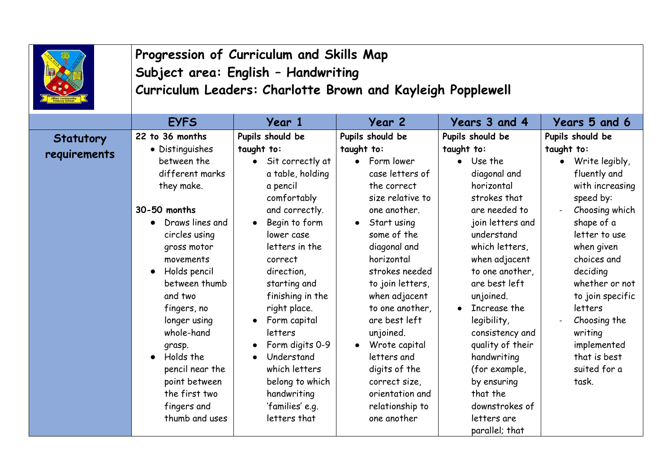|                           | Progression of Curriculum and Skills Map<br>Subject area: English - Handwriting<br>Curriculum Leaders: Charlotte Brown and Kayleigh Popplewell                                                                                                                                                                                                                           |                                                                                                                                                                                                                                                                                                                                                                                                     |                                                                                                                                                                                                                                                                                                                                                                                                                            |                                                                                                                                                                                                                                                                                                                                                                                                                                           |                                                                                                                                                                                                                                                                                                                                             |
|---------------------------|--------------------------------------------------------------------------------------------------------------------------------------------------------------------------------------------------------------------------------------------------------------------------------------------------------------------------------------------------------------------------|-----------------------------------------------------------------------------------------------------------------------------------------------------------------------------------------------------------------------------------------------------------------------------------------------------------------------------------------------------------------------------------------------------|----------------------------------------------------------------------------------------------------------------------------------------------------------------------------------------------------------------------------------------------------------------------------------------------------------------------------------------------------------------------------------------------------------------------------|-------------------------------------------------------------------------------------------------------------------------------------------------------------------------------------------------------------------------------------------------------------------------------------------------------------------------------------------------------------------------------------------------------------------------------------------|---------------------------------------------------------------------------------------------------------------------------------------------------------------------------------------------------------------------------------------------------------------------------------------------------------------------------------------------|
|                           | <b>EYFS</b>                                                                                                                                                                                                                                                                                                                                                              | Year 1                                                                                                                                                                                                                                                                                                                                                                                              | Year 2                                                                                                                                                                                                                                                                                                                                                                                                                     | Years 3 and 4                                                                                                                                                                                                                                                                                                                                                                                                                             | Years 5 and 6                                                                                                                                                                                                                                                                                                                               |
| Statutory<br>requirements | 22 to 36 months<br>• Distinguishes<br>between the<br>different marks<br>they make.<br>30-50 months<br>Draws lines and<br>circles using<br>gross motor<br>movements<br>Holds pencil<br>between thumb<br>and two<br>fingers, no<br>longer using<br>whole-hand<br>grasp.<br>Holds the<br>pencil near the<br>point between<br>the first two<br>fingers and<br>thumb and uses | Pupils should be<br>taught to:<br>Sit correctly at<br>a table, holding<br>a pencil<br>comfortably<br>and correctly.<br>Begin to form<br>lower case<br>letters in the<br>correct<br>direction,<br>starting and<br>finishing in the<br>right place.<br>Form capital<br>letters<br>Form digits 0-9<br>Understand<br>which letters<br>belong to which<br>handwriting<br>'families' e.g.<br>letters that | Pupils should be<br>taught to:<br>Form lower<br>$\bullet$<br>case letters of<br>the correct<br>size relative to<br>one another.<br>Start using<br>some of the<br>diagonal and<br>horizontal<br>strokes needed<br>to join letters,<br>when adjacent<br>to one another,<br>are best left<br>unjoined.<br>Wrote capital<br>letters and<br>digits of the<br>correct size,<br>orientation and<br>relationship to<br>one another | Pupils should be<br>taught to:<br>$\bullet$ Use the<br>diagonal and<br>horizontal<br>strokes that<br>are needed to<br>join letters and<br>understand<br>which letters,<br>when adjacent<br>to one another,<br>are best left<br>unjoined.<br>Increase the<br>$\bullet$<br>legibility,<br>consistency and<br>quality of their<br>handwriting<br>(for example,<br>by ensuring<br>that the<br>downstrokes of<br>letters are<br>parallel; that | Pupils should be<br>taught to:<br>Write legibly,<br>$\bullet$<br>fluently and<br>with increasing<br>speed by:<br>Choosing which<br>shape of a<br>letter to use<br>when given<br>choices and<br>deciding<br>whether or not<br>to join specific<br>letters<br>Choosing the<br>writing<br>implemented<br>that is best<br>suited for a<br>task. |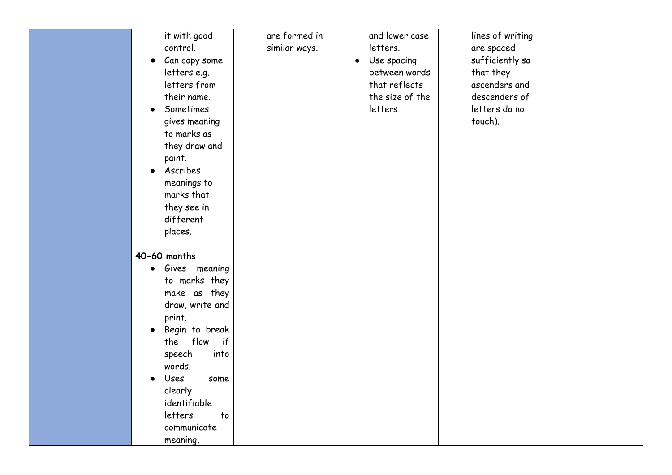| it with good<br>control.<br>Can copy some<br>$\bullet$<br>letters e.g.<br>letters from<br>their name.<br>Sometimes<br>$\bullet$<br>gives meaning<br>to marks as<br>they draw and<br>paint.<br>Ascribes<br>$\bullet$<br>meanings to<br>marks that<br>they see in<br>different<br>places. | are formed in<br>similar ways. | and lower case<br>letters.<br>Use spacing<br>$\bullet$<br>between words<br>that reflects<br>the size of the<br>letters. | lines of writing<br>are spaced<br>sufficiently so<br>that they<br>ascenders and<br>descenders of<br>letters do no<br>touch). |  |
|-----------------------------------------------------------------------------------------------------------------------------------------------------------------------------------------------------------------------------------------------------------------------------------------|--------------------------------|-------------------------------------------------------------------------------------------------------------------------|------------------------------------------------------------------------------------------------------------------------------|--|
| 40-60 months<br>Gives meaning<br>$\bullet$<br>to marks they                                                                                                                                                                                                                             |                                |                                                                                                                         |                                                                                                                              |  |
| make as they<br>draw, write and<br>print.                                                                                                                                                                                                                                               |                                |                                                                                                                         |                                                                                                                              |  |
| Begin to break<br>$\bullet$<br>flow if<br>the<br>speech<br>into                                                                                                                                                                                                                         |                                |                                                                                                                         |                                                                                                                              |  |
| words.<br>Uses<br>some                                                                                                                                                                                                                                                                  |                                |                                                                                                                         |                                                                                                                              |  |
| clearly<br>identifiable<br>letters<br>to                                                                                                                                                                                                                                                |                                |                                                                                                                         |                                                                                                                              |  |
| communicate<br>meaning,                                                                                                                                                                                                                                                                 |                                |                                                                                                                         |                                                                                                                              |  |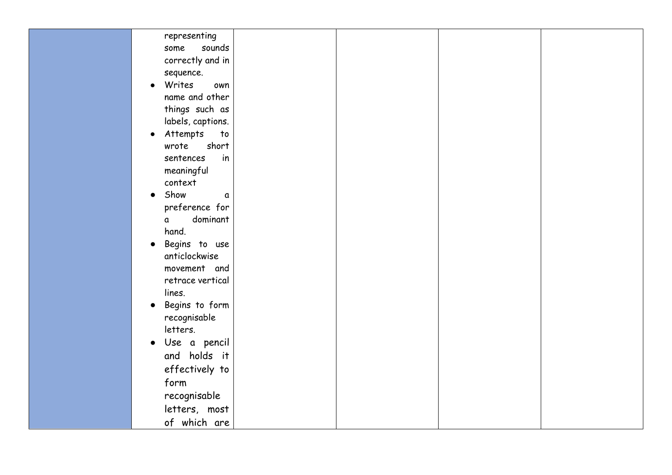| representing                |  |  |
|-----------------------------|--|--|
| sounds<br>some              |  |  |
| correctly and in            |  |  |
| sequence.                   |  |  |
| Writes<br>own<br>$\bullet$  |  |  |
| name and other              |  |  |
| things such as              |  |  |
| labels, captions.           |  |  |
| Attempts<br>to<br>$\bullet$ |  |  |
| short<br>wrote              |  |  |
| sentences<br>in             |  |  |
| meaningful                  |  |  |
| context                     |  |  |
| Show<br>a<br>$\bullet$      |  |  |
| preference for              |  |  |
| dominant<br>a               |  |  |
| hand.                       |  |  |
| Begins to use<br>$\bullet$  |  |  |
| anticlockwise               |  |  |
| movement and                |  |  |
| retrace vertical            |  |  |
| lines.                      |  |  |
| Begins to form<br>$\bullet$ |  |  |
| recognisable                |  |  |
| letters.                    |  |  |
| Use a pencil<br>$\bullet$   |  |  |
| and holds it                |  |  |
| effectively to              |  |  |
| form                        |  |  |
| recognisable                |  |  |
| letters, most               |  |  |
| of which are                |  |  |
|                             |  |  |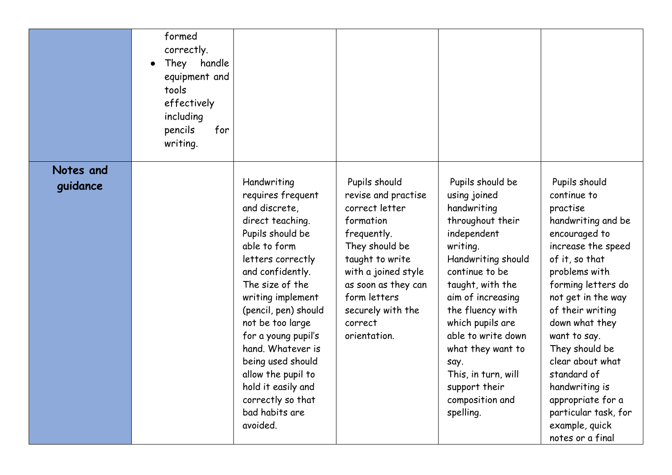|           | formed<br>correctly.<br>They<br>handle<br>equipment and<br>tools<br>effectively<br>including<br>pencils<br>for<br>writing. |                                                                                                                                                                                                                                                                                                                                                                                                        |                                                                                                                                                                                                                                       |                                                                                                                                                                                                                                                                                                                                                    |                                                                                                                                                                                                                                                                                                                                                                                                      |
|-----------|----------------------------------------------------------------------------------------------------------------------------|--------------------------------------------------------------------------------------------------------------------------------------------------------------------------------------------------------------------------------------------------------------------------------------------------------------------------------------------------------------------------------------------------------|---------------------------------------------------------------------------------------------------------------------------------------------------------------------------------------------------------------------------------------|----------------------------------------------------------------------------------------------------------------------------------------------------------------------------------------------------------------------------------------------------------------------------------------------------------------------------------------------------|------------------------------------------------------------------------------------------------------------------------------------------------------------------------------------------------------------------------------------------------------------------------------------------------------------------------------------------------------------------------------------------------------|
| Notes and |                                                                                                                            |                                                                                                                                                                                                                                                                                                                                                                                                        |                                                                                                                                                                                                                                       |                                                                                                                                                                                                                                                                                                                                                    |                                                                                                                                                                                                                                                                                                                                                                                                      |
| guidance  |                                                                                                                            | Handwriting<br>requires frequent<br>and discrete,<br>direct teaching.<br>Pupils should be<br>able to form<br>letters correctly<br>and confidently.<br>The size of the<br>writing implement<br>(pencil, pen) should<br>not be too large<br>for a young pupil's<br>hand. Whatever is<br>being used should<br>allow the pupil to<br>hold it easily and<br>correctly so that<br>bad habits are<br>avoided. | Pupils should<br>revise and practise<br>correct letter<br>formation<br>frequently.<br>They should be<br>taught to write<br>with a joined style<br>as soon as they can<br>form letters<br>securely with the<br>correct<br>orientation. | Pupils should be<br>using joined<br>handwriting<br>throughout their<br>independent<br>writing.<br>Handwriting should<br>continue to be<br>taught, with the<br>aim of increasing<br>the fluency with<br>which pupils are<br>able to write down<br>what they want to<br>say.<br>This, in turn, will<br>support their<br>composition and<br>spelling. | Pupils should<br>continue to<br>practise<br>handwriting and be<br>encouraged to<br>increase the speed<br>of it, so that<br>problems with<br>forming letters do<br>not get in the way<br>of their writing<br>down what they<br>want to say.<br>They should be<br>clear about what<br>standard of<br>handwriting is<br>appropriate for a<br>particular task, for<br>example, quick<br>notes or a final |